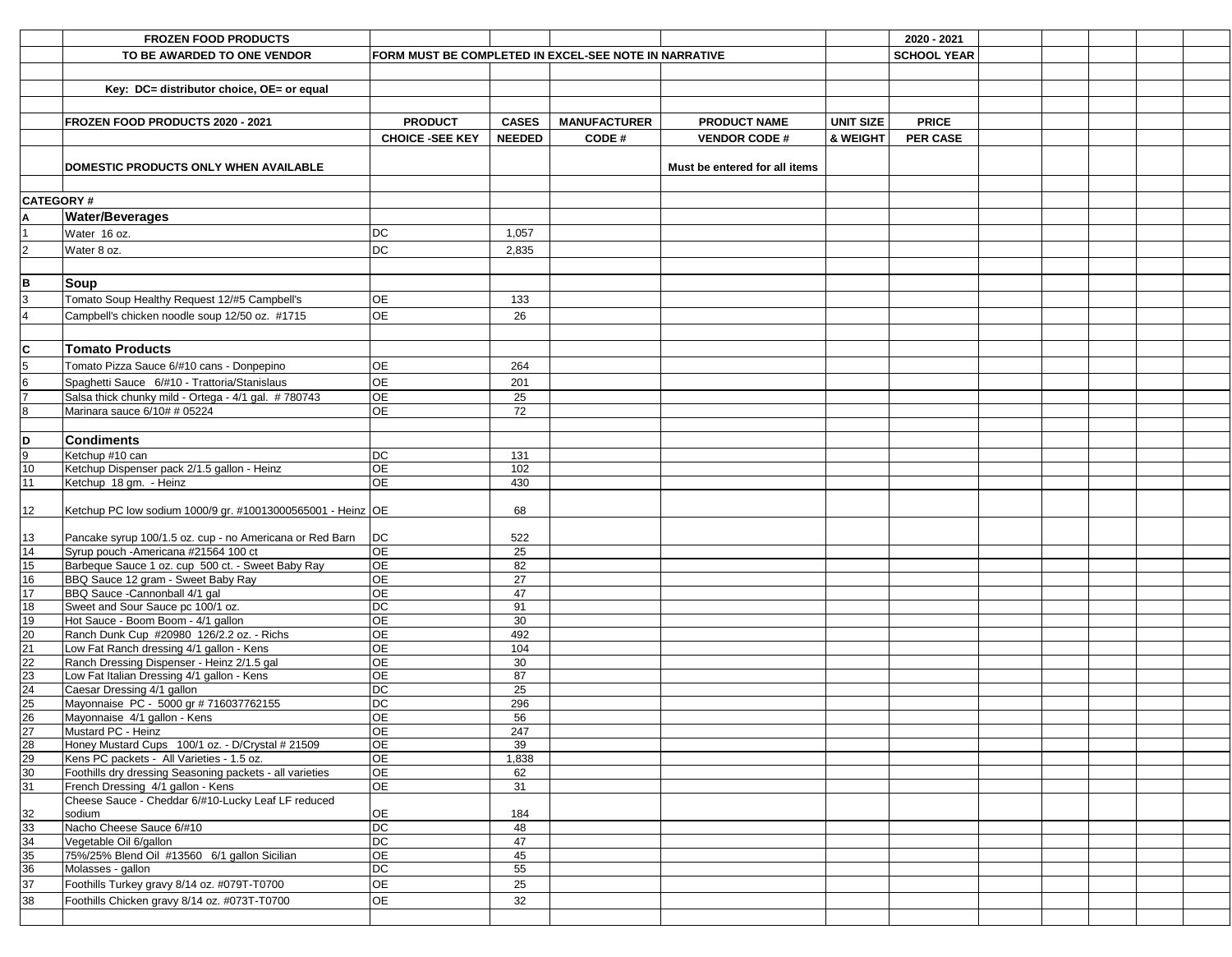|                                                                       | <b>FROZEN FOOD PRODUCTS</b>                                            |                                                       |               |                     |                               |                     | 2020 - 2021        |  |  |
|-----------------------------------------------------------------------|------------------------------------------------------------------------|-------------------------------------------------------|---------------|---------------------|-------------------------------|---------------------|--------------------|--|--|
|                                                                       | TO BE AWARDED TO ONE VENDOR                                            | FORM MUST BE COMPLETED IN EXCEL-SEE NOTE IN NARRATIVE |               |                     |                               |                     | <b>SCHOOL YEAR</b> |  |  |
|                                                                       |                                                                        |                                                       |               |                     |                               |                     |                    |  |  |
|                                                                       |                                                                        |                                                       |               |                     |                               |                     |                    |  |  |
|                                                                       | Key: DC= distributor choice, OE= or equal                              |                                                       |               |                     |                               |                     |                    |  |  |
|                                                                       |                                                                        |                                                       |               |                     |                               |                     |                    |  |  |
|                                                                       | FROZEN FOOD PRODUCTS 2020 - 2021                                       | <b>PRODUCT</b>                                        | <b>CASES</b>  | <b>MANUFACTURER</b> | <b>PRODUCT NAME</b>           | <b>UNIT SIZE</b>    | <b>PRICE</b>       |  |  |
|                                                                       |                                                                        | <b>CHOICE -SEE KEY</b>                                | <b>NEEDED</b> | CODE#               | <b>VENDOR CODE#</b>           | <b>&amp; WEIGHT</b> | <b>PER CASE</b>    |  |  |
|                                                                       | DOMESTIC PRODUCTS ONLY WHEN AVAILABLE                                  |                                                       |               |                     | Must be entered for all items |                     |                    |  |  |
|                                                                       |                                                                        |                                                       |               |                     |                               |                     |                    |  |  |
| <b>CATEGORY#</b>                                                      |                                                                        |                                                       |               |                     |                               |                     |                    |  |  |
| A                                                                     | <b>Water/Beverages</b>                                                 |                                                       |               |                     |                               |                     |                    |  |  |
|                                                                       | Water 16 oz.                                                           | <b>DC</b>                                             | 1,057         |                     |                               |                     |                    |  |  |
| $\overline{2}$                                                        | Water 8 oz.                                                            | <b>DC</b>                                             | 2,835         |                     |                               |                     |                    |  |  |
|                                                                       |                                                                        |                                                       |               |                     |                               |                     |                    |  |  |
| B                                                                     | <b>Soup</b>                                                            |                                                       |               |                     |                               |                     |                    |  |  |
| 3                                                                     | Tomato Soup Healthy Request 12/#5 Campbell's                           | OE                                                    | 133           |                     |                               |                     |                    |  |  |
|                                                                       | Campbell's chicken noodle soup 12/50 oz. #1715                         | OE                                                    | 26            |                     |                               |                     |                    |  |  |
|                                                                       |                                                                        |                                                       |               |                     |                               |                     |                    |  |  |
|                                                                       |                                                                        |                                                       |               |                     |                               |                     |                    |  |  |
| $\overline{\mathbf{C}}$                                               | <b>Tomato Products</b>                                                 |                                                       |               |                     |                               |                     |                    |  |  |
| $5\overline{)}$                                                       | Tomato Pizza Sauce 6/#10 cans - Donpepino                              | OE                                                    | 264           |                     |                               |                     |                    |  |  |
| 6                                                                     | Spaghetti Sauce 6/#10 - Trattoria/Stanislaus                           | <b>OE</b>                                             | 201           |                     |                               |                     |                    |  |  |
|                                                                       | Salsa thick chunky mild - Ortega - 4/1 gal. #780743                    | <b>OE</b>                                             | 25            |                     |                               |                     |                    |  |  |
| 8                                                                     | Marinara sauce 6/10# # 05224                                           | OE                                                    | 72            |                     |                               |                     |                    |  |  |
|                                                                       |                                                                        |                                                       |               |                     |                               |                     |                    |  |  |
| D                                                                     | <b>Condiments</b>                                                      |                                                       |               |                     |                               |                     |                    |  |  |
| 9<br>$\overline{10}$                                                  | Ketchup #10 can<br>Ketchup Dispenser pack 2/1.5 gallon - Heinz         | <b>DC</b><br>OE                                       | 131<br>102    |                     |                               |                     |                    |  |  |
| 11                                                                    |                                                                        | OE                                                    | 430           |                     |                               |                     |                    |  |  |
|                                                                       | Ketchup 18 gm. - Heinz                                                 |                                                       |               |                     |                               |                     |                    |  |  |
| 12                                                                    | Ketchup PC low sodium 1000/9 gr. #10013000565001 - Heinz OE            |                                                       | 68            |                     |                               |                     |                    |  |  |
| 13                                                                    | Pancake syrup 100/1.5 oz. cup - no Americana or Red Barn               | $\overline{DC}$                                       | 522           |                     |                               |                     |                    |  |  |
| $\overline{14}$                                                       | Syrup pouch - Americana #21564 100 ct                                  | OE                                                    | 25            |                     |                               |                     |                    |  |  |
| 15                                                                    | Barbeque Sauce 1 oz. cup 500 ct. - Sweet Baby Ray                      | <b>OE</b>                                             | 82            |                     |                               |                     |                    |  |  |
| 16                                                                    | BBQ Sauce 12 gram - Sweet Baby Ray                                     | OE                                                    | 27            |                     |                               |                     |                    |  |  |
| 17                                                                    | BBQ Sauce - Cannonball 4/1 gal                                         | <b>OE</b>                                             | 47            |                     |                               |                     |                    |  |  |
| 18                                                                    | Sweet and Sour Sauce pc 100/1 oz.                                      | $\overline{DC}$                                       | 91            |                     |                               |                     |                    |  |  |
| 19                                                                    | Hot Sauce - Boom Boom - 4/1 gallon                                     | OE                                                    | 30            |                     |                               |                     |                    |  |  |
| $\overline{20}$                                                       | Ranch Dunk Cup #20980 126/2.2 oz. - Richs                              | OE                                                    | 492           |                     |                               |                     |                    |  |  |
| $\overline{21}$                                                       | Low Fat Ranch dressing 4/1 gallon - Kens                               | OE                                                    | 104           |                     |                               |                     |                    |  |  |
|                                                                       | Ranch Dressing Dispenser - Heinz 2/1.5 gal                             | OE                                                    | 30            |                     |                               |                     |                    |  |  |
| $\frac{22}{23} \frac{23}{24} \frac{1}{25} \frac{25}{26} \frac{1}{27}$ | Low Fat Italian Dressing 4/1 gallon - Kens                             | OE                                                    | 87            |                     |                               |                     |                    |  |  |
|                                                                       | Caesar Dressing 4/1 gallon                                             | $\overline{DC}$                                       | 25            |                     |                               |                     |                    |  |  |
|                                                                       | Mayonnaise PC - 5000 gr # 716037762155                                 | $\overline{DC}$                                       | 296           |                     |                               |                     |                    |  |  |
|                                                                       | Mayonnaise 4/1 gallon - Kens                                           | OE                                                    | 56            |                     |                               |                     |                    |  |  |
|                                                                       | Mustard PC - Heinz<br>Honey Mustard Cups 100/1 oz. - D/Crystal # 21509 | OE<br><b>OE</b>                                       | 247<br>39     |                     |                               |                     |                    |  |  |
| $\begin{array}{ c c }\n\hline\n28 \\ \hline\n29\n\end{array}$         | Kens PC packets - All Varieties - 1.5 oz.                              | <b>OE</b>                                             | 1,838         |                     |                               |                     |                    |  |  |
| $\overline{30}$                                                       | Foothills dry dressing Seasoning packets - all varieties               | <b>OE</b>                                             | 62            |                     |                               |                     |                    |  |  |
| 31                                                                    | French Dressing 4/1 gallon - Kens                                      | <b>OE</b>                                             | 31            |                     |                               |                     |                    |  |  |
|                                                                       | Cheese Sauce - Cheddar 6/#10-Lucky Leaf LF reduced                     |                                                       |               |                     |                               |                     |                    |  |  |
| 32                                                                    | sodium                                                                 | <b>OE</b>                                             | 184           |                     |                               |                     |                    |  |  |
| 33                                                                    | Nacho Cheese Sauce 6/#10                                               | $\overline{DC}$                                       | 48            |                     |                               |                     |                    |  |  |
| 34                                                                    | Vegetable Oil 6/gallon                                                 | $\overline{DC}$                                       | 47            |                     |                               |                     |                    |  |  |
| 35                                                                    | 75%/25% Blend Oil #13560 6/1 gallon Sicilian                           | OE                                                    | 45            |                     |                               |                     |                    |  |  |
| 36                                                                    | Molasses - gallon                                                      | $\overline{DC}$                                       | 55            |                     |                               |                     |                    |  |  |
| 37                                                                    | Foothills Turkey gravy 8/14 oz. #079T-T0700                            | OE                                                    | 25            |                     |                               |                     |                    |  |  |
| 38                                                                    | Foothills Chicken gravy 8/14 oz. #073T-T0700                           | OE                                                    | 32            |                     |                               |                     |                    |  |  |
|                                                                       |                                                                        |                                                       |               |                     |                               |                     |                    |  |  |
|                                                                       |                                                                        |                                                       |               |                     |                               |                     |                    |  |  |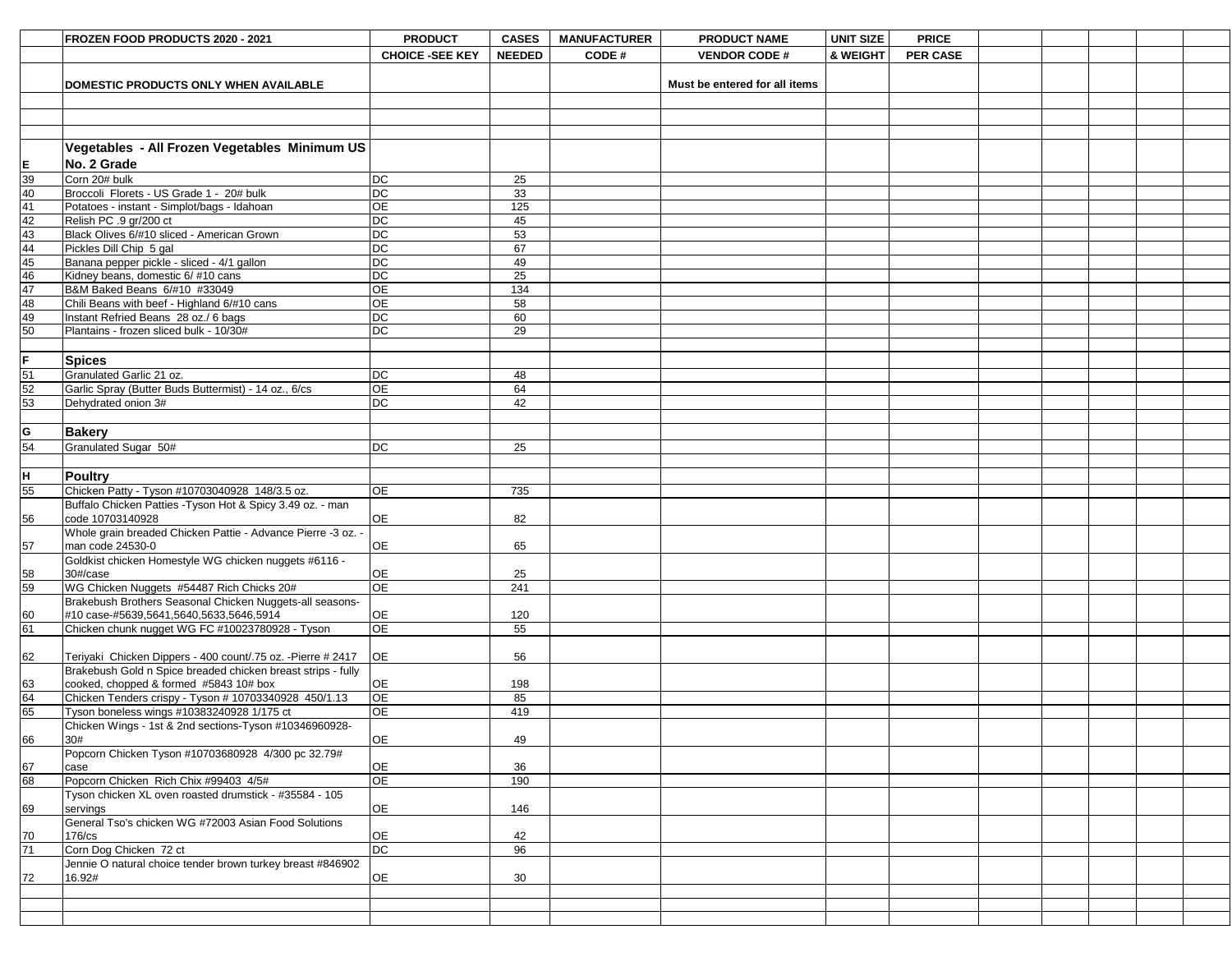|                                 | FROZEN FOOD PRODUCTS 2020 - 2021                                                                | <b>PRODUCT</b>         | <b>CASES</b>  | <b>MANUFACTURER</b> | <b>PRODUCT NAME</b>           | <b>UNIT SIZE</b> | <b>PRICE</b>    |  |  |  |
|---------------------------------|-------------------------------------------------------------------------------------------------|------------------------|---------------|---------------------|-------------------------------|------------------|-----------------|--|--|--|
|                                 |                                                                                                 | <b>CHOICE -SEE KEY</b> | <b>NEEDED</b> | <b>CODE#</b>        | <b>VENDOR CODE#</b>           | & WEIGHT         | <b>PER CASE</b> |  |  |  |
|                                 |                                                                                                 |                        |               |                     |                               |                  |                 |  |  |  |
|                                 | DOMESTIC PRODUCTS ONLY WHEN AVAILABLE                                                           |                        |               |                     | Must be entered for all items |                  |                 |  |  |  |
|                                 |                                                                                                 |                        |               |                     |                               |                  |                 |  |  |  |
|                                 |                                                                                                 |                        |               |                     |                               |                  |                 |  |  |  |
|                                 |                                                                                                 |                        |               |                     |                               |                  |                 |  |  |  |
|                                 |                                                                                                 |                        |               |                     |                               |                  |                 |  |  |  |
|                                 | Vegetables - All Frozen Vegetables Minimum US                                                   |                        |               |                     |                               |                  |                 |  |  |  |
|                                 | No. 2 Grade                                                                                     |                        |               |                     |                               |                  |                 |  |  |  |
|                                 | Corn 20# bulk                                                                                   | DC                     | 25            |                     |                               |                  |                 |  |  |  |
| $\frac{E}{\frac{39}{40}}$       | Broccoli Florets - US Grade 1 - 20# bulk                                                        | DC                     | 33            |                     |                               |                  |                 |  |  |  |
| 42                              | Potatoes - instant - Simplot/bags - Idahoan<br>Relish PC .9 gr/200 ct                           | <b>OE</b><br>DC        | 125<br>45     |                     |                               |                  |                 |  |  |  |
| 43                              | Black Olives 6/#10 sliced - American Grown                                                      | DC                     | 53            |                     |                               |                  |                 |  |  |  |
| 44                              | Pickles Dill Chip 5 gal                                                                         | DC                     | 67            |                     |                               |                  |                 |  |  |  |
| 45                              | Banana pepper pickle - sliced - 4/1 gallon                                                      | DC                     | 49            |                     |                               |                  |                 |  |  |  |
| 46                              | Kidney beans, domestic 6/ #10 cans                                                              | $DC$                   | 25            |                     |                               |                  |                 |  |  |  |
| 47                              | B&M Baked Beans 6/#10 #33049                                                                    | OE                     | 134           |                     |                               |                  |                 |  |  |  |
| 48                              | Chili Beans with beef - Highland 6/#10 cans                                                     | ΟE                     | 58            |                     |                               |                  |                 |  |  |  |
| 49                              | Instant Refried Beans 28 oz./ 6 bags                                                            | DC                     | 60            |                     |                               |                  |                 |  |  |  |
| 50                              | Plantains - frozen sliced bulk - 10/30#                                                         | DC                     | 29            |                     |                               |                  |                 |  |  |  |
|                                 |                                                                                                 |                        |               |                     |                               |                  |                 |  |  |  |
| lF.                             | <b>Spices</b>                                                                                   |                        |               |                     |                               |                  |                 |  |  |  |
| $\frac{51}{52}$ $\frac{53}{53}$ | Granulated Garlic 21 oz.                                                                        | $DC$                   | 48            |                     |                               |                  |                 |  |  |  |
|                                 | Garlic Spray (Butter Buds Buttermist) - 14 oz., 6/cs                                            | <b>OE</b>              | 64            |                     |                               |                  |                 |  |  |  |
|                                 | Dehydrated onion 3#                                                                             | DC                     | 42            |                     |                               |                  |                 |  |  |  |
|                                 |                                                                                                 |                        |               |                     |                               |                  |                 |  |  |  |
| lG                              | Bakery                                                                                          |                        |               |                     |                               |                  |                 |  |  |  |
| $\overline{54}$                 | Granulated Sugar 50#                                                                            | DC                     | 25            |                     |                               |                  |                 |  |  |  |
|                                 |                                                                                                 |                        |               |                     |                               |                  |                 |  |  |  |
| ļн.                             | <b>Poultry</b>                                                                                  |                        |               |                     |                               |                  |                 |  |  |  |
| $\overline{55}$                 | Chicken Patty - Tyson #10703040928 148/3.5 oz.                                                  | <b>OE</b>              | 735           |                     |                               |                  |                 |  |  |  |
|                                 | Buffalo Chicken Patties - Tyson Hot & Spicy 3.49 oz. - man<br>code 10703140928                  | <b>OE</b>              |               |                     |                               |                  |                 |  |  |  |
| 56                              | Whole grain breaded Chicken Pattie - Advance Pierre -3 oz. -                                    |                        | 82            |                     |                               |                  |                 |  |  |  |
| 57                              | man code 24530-0                                                                                | OE                     | 65            |                     |                               |                  |                 |  |  |  |
|                                 | Goldkist chicken Homestyle WG chicken nuggets #6116 -                                           |                        |               |                     |                               |                  |                 |  |  |  |
|                                 | $30\frac{t}{2}$ case                                                                            | <b>OE</b>              | 25            |                     |                               |                  |                 |  |  |  |
| $\frac{58}{59}$                 | WG Chicken Nuggets #54487 Rich Chicks 20#                                                       | OE                     | 241           |                     |                               |                  |                 |  |  |  |
|                                 | Brakebush Brothers Seasonal Chicken Nuggets-all seasons-                                        |                        |               |                     |                               |                  |                 |  |  |  |
| 60                              | #10 case-#5639,5641,5640,5633,5646,5914                                                         | <b>OE</b>              | 120           |                     |                               |                  |                 |  |  |  |
| $\overline{61}$                 | Chicken chunk nugget WG FC #10023780928 - Tyson                                                 | OE                     | 55            |                     |                               |                  |                 |  |  |  |
|                                 |                                                                                                 |                        |               |                     |                               |                  |                 |  |  |  |
| 62                              | Teriyaki Chicken Dippers - 400 count/.75 oz. - Pierre # 2417                                    | <b>OE</b>              | 56            |                     |                               |                  |                 |  |  |  |
|                                 | Brakebush Gold n Spice breaded chicken breast strips - fully                                    |                        |               |                     |                               |                  |                 |  |  |  |
| $\frac{63}{64}$                 | cooked, chopped & formed #5843 10# box<br>Chicken Tenders crispy - Tyson # 10703340928 450/1.13 | <b>OE</b><br>OE        | 198<br>85     |                     |                               |                  |                 |  |  |  |
| 65                              | Tyson boneless wings #10383240928 1/175 ct                                                      | <b>OE</b>              | 419           |                     |                               |                  |                 |  |  |  |
|                                 | Chicken Wings - 1st & 2nd sections-Tyson #10346960928-                                          |                        |               |                     |                               |                  |                 |  |  |  |
| 66                              | 30#                                                                                             | <b>OE</b>              | 49            |                     |                               |                  |                 |  |  |  |
|                                 | Popcorn Chicken Tyson #10703680928 4/300 pc 32.79#                                              |                        |               |                     |                               |                  |                 |  |  |  |
| $\frac{67}{68}$                 | case                                                                                            | <b>OE</b>              | 36            |                     |                               |                  |                 |  |  |  |
|                                 | Popcorn Chicken Rich Chix #99403 4/5#                                                           | OE                     | 190           |                     |                               |                  |                 |  |  |  |
|                                 | Tyson chicken XL oven roasted drumstick - #35584 - 105                                          |                        |               |                     |                               |                  |                 |  |  |  |
| 69                              | servings                                                                                        | <b>OE</b>              | 146           |                     |                               |                  |                 |  |  |  |
|                                 | General Tso's chicken WG #72003 Asian Food Solutions                                            |                        |               |                     |                               |                  |                 |  |  |  |
| $\frac{70}{71}$                 | 176/cs                                                                                          | <b>OE</b>              | 42            |                     |                               |                  |                 |  |  |  |
|                                 | Corn Dog Chicken 72 ct                                                                          | DC                     | 96            |                     |                               |                  |                 |  |  |  |
| 72                              | Jennie O natural choice tender brown turkey breast #846902<br>16.92#                            | OE                     | 30            |                     |                               |                  |                 |  |  |  |
|                                 |                                                                                                 |                        |               |                     |                               |                  |                 |  |  |  |
|                                 |                                                                                                 |                        |               |                     |                               |                  |                 |  |  |  |
|                                 |                                                                                                 |                        |               |                     |                               |                  |                 |  |  |  |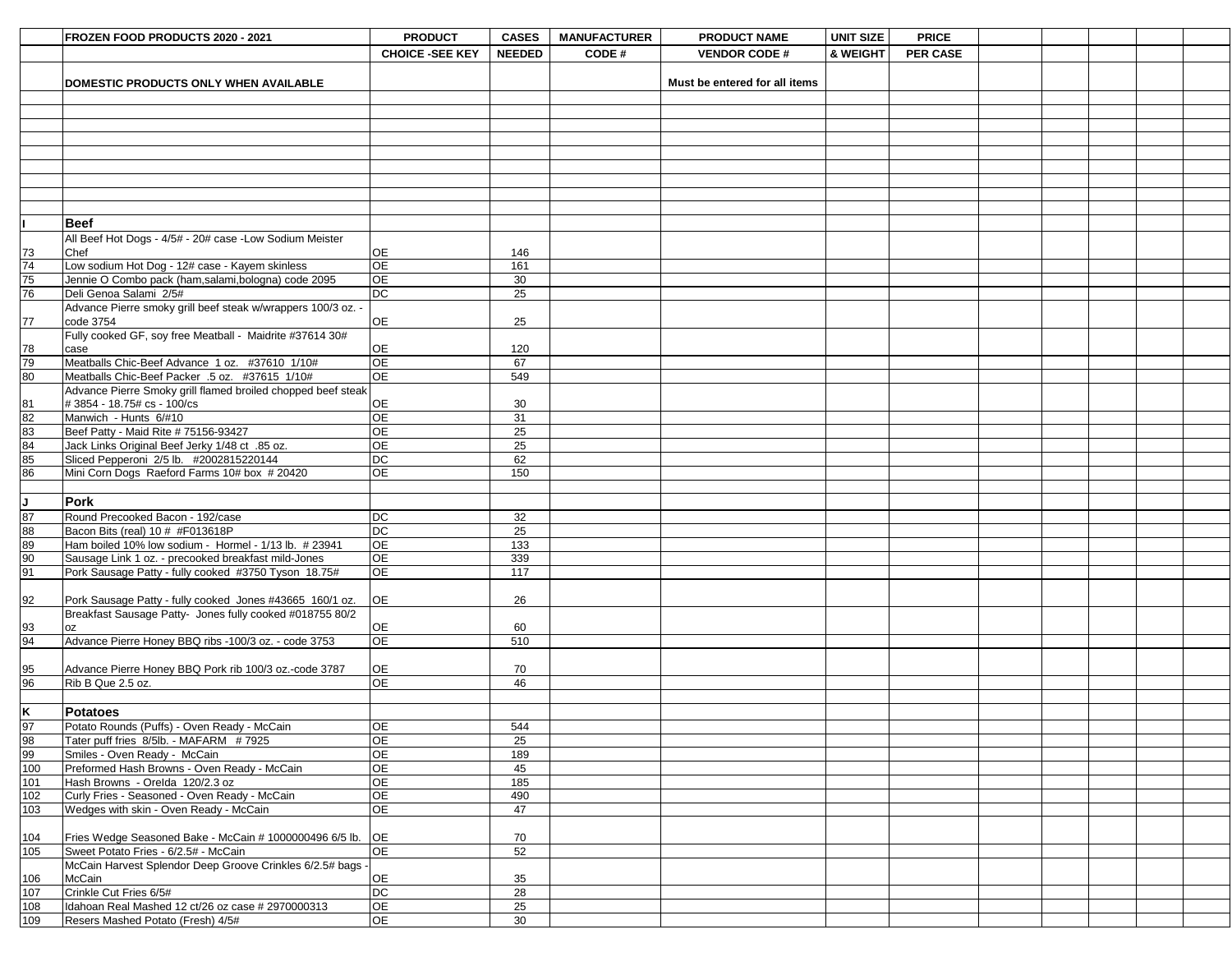|                                               |                                                                                           |                              |               |                     |                               |                  | <b>PRICE</b>    |  |  |  |
|-----------------------------------------------|-------------------------------------------------------------------------------------------|------------------------------|---------------|---------------------|-------------------------------|------------------|-----------------|--|--|--|
|                                               | FROZEN FOOD PRODUCTS 2020 - 2021                                                          | <b>PRODUCT</b>               | <b>CASES</b>  | <b>MANUFACTURER</b> | <b>PRODUCT NAME</b>           | <b>UNIT SIZE</b> |                 |  |  |  |
|                                               |                                                                                           | <b>CHOICE -SEE KEY</b>       | <b>NEEDED</b> | <b>CODE#</b>        | <b>VENDOR CODE #</b>          | & WEIGHT         | <b>PER CASE</b> |  |  |  |
|                                               |                                                                                           |                              |               |                     |                               |                  |                 |  |  |  |
|                                               | DOMESTIC PRODUCTS ONLY WHEN AVAILABLE                                                     |                              |               |                     | Must be entered for all items |                  |                 |  |  |  |
|                                               |                                                                                           |                              |               |                     |                               |                  |                 |  |  |  |
|                                               |                                                                                           |                              |               |                     |                               |                  |                 |  |  |  |
|                                               |                                                                                           |                              |               |                     |                               |                  |                 |  |  |  |
|                                               |                                                                                           |                              |               |                     |                               |                  |                 |  |  |  |
|                                               |                                                                                           |                              |               |                     |                               |                  |                 |  |  |  |
|                                               |                                                                                           |                              |               |                     |                               |                  |                 |  |  |  |
|                                               |                                                                                           |                              |               |                     |                               |                  |                 |  |  |  |
|                                               |                                                                                           |                              |               |                     |                               |                  |                 |  |  |  |
|                                               |                                                                                           |                              |               |                     |                               |                  |                 |  |  |  |
|                                               | <b>Beef</b>                                                                               |                              |               |                     |                               |                  |                 |  |  |  |
|                                               | All Beef Hot Dogs - 4/5# - 20# case -Low Sodium Meister                                   |                              |               |                     |                               |                  |                 |  |  |  |
|                                               | <b>Chef</b>                                                                               | <b>OE</b>                    | 146           |                     |                               |                  |                 |  |  |  |
| $\frac{73}{74}$<br>$\frac{74}{76}$            | Low sodium Hot Dog - 12# case - Kayem skinless                                            | <b>OE</b>                    | 161           |                     |                               |                  |                 |  |  |  |
|                                               | Jennie O Combo pack (ham, salami, bologna) code 2095                                      | OE                           | 30            |                     |                               |                  |                 |  |  |  |
|                                               | Deli Genoa Salami 2/5#                                                                    | DC                           | 25            |                     |                               |                  |                 |  |  |  |
|                                               | Advance Pierre smoky grill beef steak w/wrappers 100/3 oz. -                              |                              |               |                     |                               |                  |                 |  |  |  |
| 77                                            | code 3754                                                                                 | <b>OE</b>                    | 25            |                     |                               |                  |                 |  |  |  |
|                                               | Fully cooked GF, soy free Meatball - Maidrite #37614 30#                                  |                              |               |                     |                               |                  |                 |  |  |  |
| $\frac{78}{79}$                               | case                                                                                      | <b>OE</b>                    | 120           |                     |                               |                  |                 |  |  |  |
|                                               | Meatballs Chic-Beef Advance 1 oz. #37610 1/10#                                            | OE                           | 67            |                     |                               |                  |                 |  |  |  |
|                                               | Meatballs Chic-Beef Packer .5 oz. #37615 1/10#                                            | OE                           | 549           |                     |                               |                  |                 |  |  |  |
|                                               | Advance Pierre Smoky grill flamed broiled chopped beef steak                              |                              |               |                     |                               |                  |                 |  |  |  |
|                                               | # 3854 - 18.75# cs - 100/cs                                                               | <b>OE</b>                    | 30            |                     |                               |                  |                 |  |  |  |
| 81<br>82<br>83<br>84<br>85<br>85<br>86        | Manwich - Hunts 6/#10                                                                     | <b>OE</b><br>$\overline{OP}$ | 31            |                     |                               |                  |                 |  |  |  |
|                                               | Beef Patty - Maid Rite # 75156-93427                                                      | OE                           | 25<br>25      |                     |                               |                  |                 |  |  |  |
|                                               | Jack Links Original Beef Jerky 1/48 ct .85 oz.<br>Sliced Pepperoni 2/5 lb. #2002815220144 | DC                           | 62            |                     |                               |                  |                 |  |  |  |
|                                               | Mini Corn Dogs Raeford Farms 10# box # 20420                                              | OE                           | 150           |                     |                               |                  |                 |  |  |  |
|                                               |                                                                                           |                              |               |                     |                               |                  |                 |  |  |  |
|                                               |                                                                                           |                              |               |                     |                               |                  |                 |  |  |  |
|                                               | <b>Pork</b>                                                                               |                              |               |                     |                               |                  |                 |  |  |  |
|                                               | Round Precooked Bacon - 192/case                                                          | DC                           | 32            |                     |                               |                  |                 |  |  |  |
|                                               | Bacon Bits (real) 10 # #F013618P                                                          | DC                           | 25            |                     |                               |                  |                 |  |  |  |
|                                               | Ham boiled 10% low sodium - Hormel - 1/13 lb. # 23941                                     | OE<br>OE                     | 133           |                     |                               |                  |                 |  |  |  |
| $\frac{1}{\frac{87}{90}}$                     | Sausage Link 1 oz. - precooked breakfast mild-Jones                                       | OE                           | 339<br>117    |                     |                               |                  |                 |  |  |  |
|                                               | Pork Sausage Patty - fully cooked #3750 Tyson 18.75#                                      |                              |               |                     |                               |                  |                 |  |  |  |
| 92                                            | Pork Sausage Patty - fully cooked Jones #43665 160/1 oz.                                  | <b>OE</b>                    | 26            |                     |                               |                  |                 |  |  |  |
|                                               | Breakfast Sausage Patty- Jones fully cooked #018755 80/2                                  |                              |               |                     |                               |                  |                 |  |  |  |
|                                               | <b>OZ</b>                                                                                 | OE                           | 60            |                     |                               |                  |                 |  |  |  |
| $\frac{93}{94}$                               | Advance Pierre Honey BBQ ribs -100/3 oz. - code 3753                                      | <b>OE</b>                    | 510           |                     |                               |                  |                 |  |  |  |
|                                               |                                                                                           |                              |               |                     |                               |                  |                 |  |  |  |
|                                               | Advance Pierre Honey BBQ Pork rib 100/3 oz.-code 3787                                     | OE                           | 70            |                     |                               |                  |                 |  |  |  |
| $\frac{95}{96}$                               | Rib B Que 2.5 oz.                                                                         | OE                           | 46            |                     |                               |                  |                 |  |  |  |
|                                               |                                                                                           |                              |               |                     |                               |                  |                 |  |  |  |
|                                               | <b>Potatoes</b>                                                                           |                              |               |                     |                               |                  |                 |  |  |  |
|                                               | Potato Rounds (Puffs) - Oven Ready - McCain                                               | <b>OE</b>                    | 544           |                     |                               |                  |                 |  |  |  |
| $\frac{K}{\frac{97}{98}}$<br>$\frac{98}{100}$ | Tater puff fries 8/5lb. - MAFARM #7925                                                    | OE                           | 25            |                     |                               |                  |                 |  |  |  |
|                                               | Smiles - Oven Ready - McCain                                                              | OE                           | 189           |                     |                               |                  |                 |  |  |  |
|                                               | Preformed Hash Browns - Oven Ready - McCain                                               | OE                           | 45            |                     |                               |                  |                 |  |  |  |
| 101                                           | Hash Browns - Orelda 120/2.3 oz                                                           | OE                           | 185           |                     |                               |                  |                 |  |  |  |
| $\frac{1}{102}$                               | Curly Fries - Seasoned - Oven Ready - McCain                                              | OE                           | 490           |                     |                               |                  |                 |  |  |  |
| 103                                           | Wedges with skin - Oven Ready - McCain                                                    | OE                           | 47            |                     |                               |                  |                 |  |  |  |
|                                               |                                                                                           |                              |               |                     |                               |                  |                 |  |  |  |
|                                               | Fries Wedge Seasoned Bake - McCain # 1000000496 6/5 lb. OE                                |                              | 70            |                     |                               |                  |                 |  |  |  |
| $\frac{104}{105}$                             | Sweet Potato Fries - 6/2.5# - McCain                                                      | <b>OE</b>                    | 52            |                     |                               |                  |                 |  |  |  |
|                                               | McCain Harvest Splendor Deep Groove Crinkles 6/2.5# bags -                                |                              |               |                     |                               |                  |                 |  |  |  |
| 106                                           | McCain                                                                                    | OE                           | 35            |                     |                               |                  |                 |  |  |  |
| $\frac{107}{107}$                             | Crinkle Cut Fries 6/5#                                                                    | DC                           | 28            |                     |                               |                  |                 |  |  |  |
| 108                                           | Idahoan Real Mashed 12 ct/26 oz case # 2970000313                                         | OE                           | 25            |                     |                               |                  |                 |  |  |  |
| 109                                           | Resers Mashed Potato (Fresh) 4/5#                                                         | OE                           | 30            |                     |                               |                  |                 |  |  |  |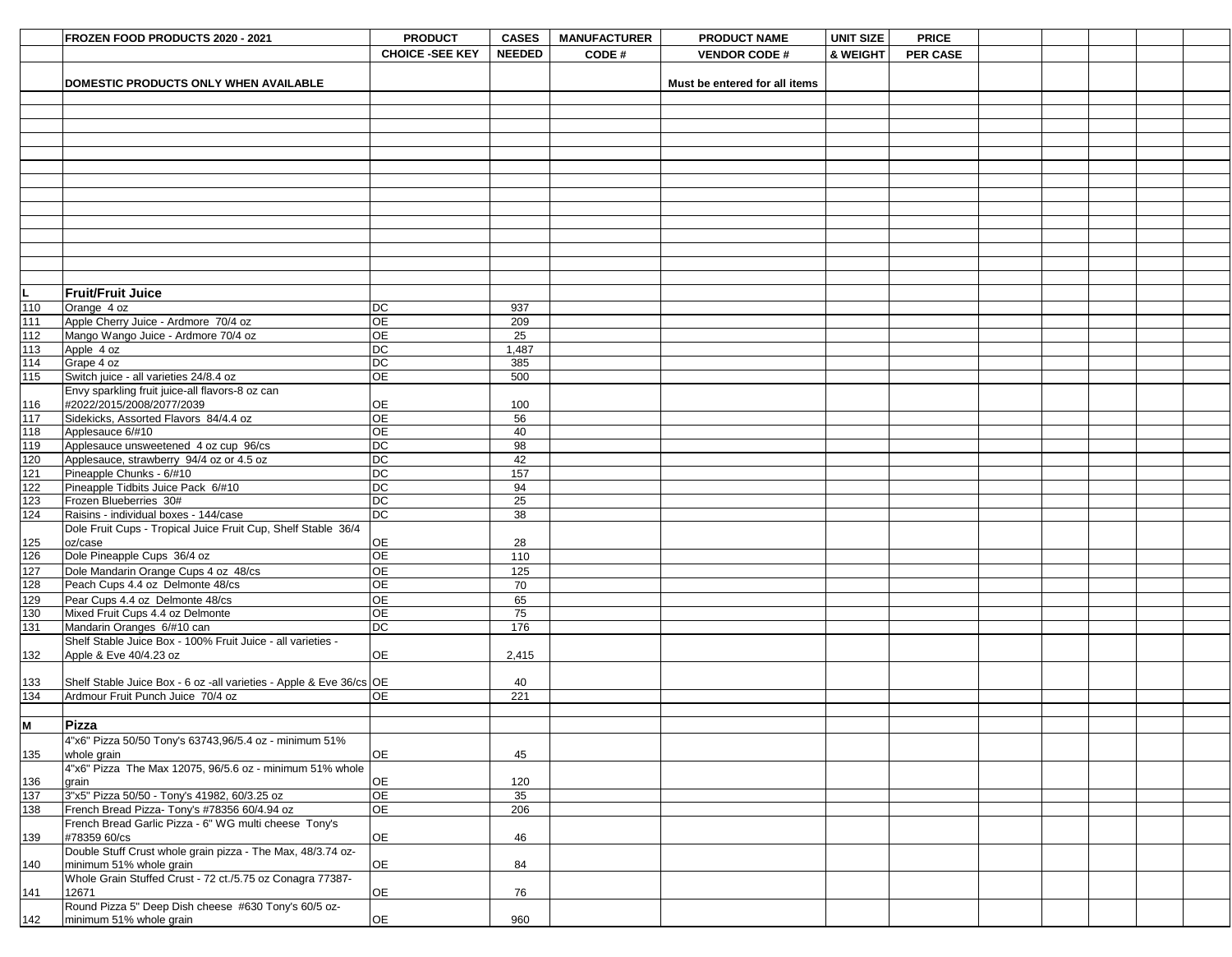|                  | FROZEN FOOD PRODUCTS 2020 - 2021                                     | <b>PRODUCT</b>                      | <b>CASES</b>  | <b>MANUFACTURER</b> | <b>PRODUCT NAME</b>           | <b>UNIT SIZE</b> | <b>PRICE</b>    |  |  |  |
|------------------|----------------------------------------------------------------------|-------------------------------------|---------------|---------------------|-------------------------------|------------------|-----------------|--|--|--|
|                  |                                                                      | <b>CHOICE -SEE KEY</b>              | <b>NEEDED</b> | CODE#               | <b>VENDOR CODE#</b>           | & WEIGHT         | <b>PER CASE</b> |  |  |  |
|                  |                                                                      |                                     |               |                     |                               |                  |                 |  |  |  |
|                  |                                                                      |                                     |               |                     |                               |                  |                 |  |  |  |
|                  | DOMESTIC PRODUCTS ONLY WHEN AVAILABLE                                |                                     |               |                     | Must be entered for all items |                  |                 |  |  |  |
|                  |                                                                      |                                     |               |                     |                               |                  |                 |  |  |  |
|                  |                                                                      |                                     |               |                     |                               |                  |                 |  |  |  |
|                  |                                                                      |                                     |               |                     |                               |                  |                 |  |  |  |
|                  |                                                                      |                                     |               |                     |                               |                  |                 |  |  |  |
|                  |                                                                      |                                     |               |                     |                               |                  |                 |  |  |  |
|                  |                                                                      |                                     |               |                     |                               |                  |                 |  |  |  |
|                  |                                                                      |                                     |               |                     |                               |                  |                 |  |  |  |
|                  |                                                                      |                                     |               |                     |                               |                  |                 |  |  |  |
|                  |                                                                      |                                     |               |                     |                               |                  |                 |  |  |  |
|                  |                                                                      |                                     |               |                     |                               |                  |                 |  |  |  |
|                  |                                                                      |                                     |               |                     |                               |                  |                 |  |  |  |
|                  |                                                                      |                                     |               |                     |                               |                  |                 |  |  |  |
|                  |                                                                      |                                     |               |                     |                               |                  |                 |  |  |  |
|                  |                                                                      |                                     |               |                     |                               |                  |                 |  |  |  |
|                  |                                                                      |                                     |               |                     |                               |                  |                 |  |  |  |
| L                | <b>Fruit/Fruit Juice</b>                                             |                                     |               |                     |                               |                  |                 |  |  |  |
| 110              | Orange 4 oz                                                          | $DC$                                | 937           |                     |                               |                  |                 |  |  |  |
| 111              | Apple Cherry Juice - Ardmore 70/4 oz                                 | <b>OE</b>                           | 209           |                     |                               |                  |                 |  |  |  |
| 112              | Mango Wango Juice - Ardmore 70/4 oz                                  | <b>OE</b>                           | 25            |                     |                               |                  |                 |  |  |  |
| $113$            | Apple 4 oz                                                           | $DC$                                | 1,487         |                     |                               |                  |                 |  |  |  |
| $\boxed{114}$    | Grape 4 oz                                                           | DC                                  | 385           |                     |                               |                  |                 |  |  |  |
| 115              | Switch juice - all varieties 24/8.4 oz                               | <b>OE</b>                           | 500           |                     |                               |                  |                 |  |  |  |
|                  | Envy sparkling fruit juice-all flavors-8 oz can                      |                                     |               |                     |                               |                  |                 |  |  |  |
| 116              | #2022/2015/2008/2077/2039                                            | <b>OE</b>                           | 100           |                     |                               |                  |                 |  |  |  |
| $\sqrt{117}$     | Sidekicks, Assorted Flavors 84/4.4 oz                                | <b>OE</b>                           | 56            |                     |                               |                  |                 |  |  |  |
| $\overline{118}$ | Applesauce 6/#10                                                     | $\overline{OE}$                     | 40            |                     |                               |                  |                 |  |  |  |
| $\frac{1}{119}$  | Applesauce unsweetened 4 oz cup 96/cs                                | <b>DC</b>                           | 98            |                     |                               |                  |                 |  |  |  |
|                  |                                                                      | $DC$                                |               |                     |                               |                  |                 |  |  |  |
| 120              | Applesauce, strawberry 94/4 oz or 4.5 oz                             |                                     | 42            |                     |                               |                  |                 |  |  |  |
| $121$            | Pineapple Chunks - 6/#10                                             | DC                                  | 157           |                     |                               |                  |                 |  |  |  |
| $122$            | Pineapple Tidbits Juice Pack 6/#10                                   | DC                                  | 94            |                     |                               |                  |                 |  |  |  |
| 123              | Frozen Blueberries 30#                                               | DC                                  | 25            |                     |                               |                  |                 |  |  |  |
| 124              | Raisins - individual boxes - 144/case                                | $\overline{DC}$                     | 38            |                     |                               |                  |                 |  |  |  |
|                  | Dole Fruit Cups - Tropical Juice Fruit Cup, Shelf Stable 36/4        |                                     |               |                     |                               |                  |                 |  |  |  |
| 125              | oz/case                                                              | <b>OE</b>                           | 28            |                     |                               |                  |                 |  |  |  |
| 126              | Dole Pineapple Cups 36/4 oz                                          | <b>OE</b>                           | 110           |                     |                               |                  |                 |  |  |  |
| 127              | Dole Mandarin Orange Cups 4 oz 48/cs                                 | ОE                                  | 125           |                     |                               |                  |                 |  |  |  |
| 128              | Peach Cups 4.4 oz Delmonte 48/cs                                     | $\overline{\overline{\mathrm{OE}}}$ | 70            |                     |                               |                  |                 |  |  |  |
| 129              | Pear Cups 4.4 oz Delmonte 48/cs                                      | <b>OE</b>                           | 65            |                     |                               |                  |                 |  |  |  |
| 130              | Mixed Fruit Cups 4.4 oz Delmonte                                     | OE                                  | 75            |                     |                               |                  |                 |  |  |  |
| 131              | Mandarin Oranges 6/#10 can                                           | $\overline{DC}$                     | 176           |                     |                               |                  |                 |  |  |  |
|                  | Shelf Stable Juice Box - 100% Fruit Juice - all varieties -          |                                     |               |                     |                               |                  |                 |  |  |  |
| 132              | Apple & Eve 40/4.23 oz                                               | <b>OE</b>                           | 2,415         |                     |                               |                  |                 |  |  |  |
|                  |                                                                      |                                     |               |                     |                               |                  |                 |  |  |  |
|                  |                                                                      |                                     |               |                     |                               |                  |                 |  |  |  |
| 133              | Shelf Stable Juice Box - 6 oz - all varieties - Apple & Eve 36/cs OE |                                     | 40            |                     |                               |                  |                 |  |  |  |
| 134              | Ardmour Fruit Punch Juice 70/4 oz                                    | <b>OE</b>                           | 221           |                     |                               |                  |                 |  |  |  |
|                  |                                                                      |                                     |               |                     |                               |                  |                 |  |  |  |
| lм               | Pizza                                                                |                                     |               |                     |                               |                  |                 |  |  |  |
|                  | 4"x6" Pizza 50/50 Tony's 63743,96/5.4 oz - minimum 51%               |                                     |               |                     |                               |                  |                 |  |  |  |
| 135              | whole grain                                                          | <b>OE</b>                           | 45            |                     |                               |                  |                 |  |  |  |
|                  | 4"x6" Pizza The Max 12075, 96/5.6 oz - minimum 51% whole             |                                     |               |                     |                               |                  |                 |  |  |  |
| 136              | grain                                                                | <b>OE</b>                           | 120           |                     |                               |                  |                 |  |  |  |
| 137              | 3"x5" Pizza 50/50 - Tony's 41982, 60/3.25 oz                         | <b>OE</b>                           | 35            |                     |                               |                  |                 |  |  |  |
| 138              | French Bread Pizza- Tony's #78356 60/4.94 oz                         | OE                                  | 206           |                     |                               |                  |                 |  |  |  |
|                  | French Bread Garlic Pizza - 6" WG multi cheese Tony's                |                                     |               |                     |                               |                  |                 |  |  |  |
| 139              | #78359 60/cs                                                         | <b>OE</b>                           | 46            |                     |                               |                  |                 |  |  |  |
|                  | Double Stuff Crust whole grain pizza - The Max, 48/3.74 oz-          |                                     |               |                     |                               |                  |                 |  |  |  |
| 140              | minimum 51% whole grain                                              | <b>OE</b>                           | 84            |                     |                               |                  |                 |  |  |  |
|                  | Whole Grain Stuffed Crust - 72 ct./5.75 oz Conagra 77387-            |                                     |               |                     |                               |                  |                 |  |  |  |
| 141              | 12671                                                                | OE                                  | 76            |                     |                               |                  |                 |  |  |  |
|                  |                                                                      |                                     |               |                     |                               |                  |                 |  |  |  |
|                  | Round Pizza 5" Deep Dish cheese #630 Tony's 60/5 oz-                 |                                     |               |                     |                               |                  |                 |  |  |  |
| 142              | minimum 51% whole grain                                              | OE                                  | 960           |                     |                               |                  |                 |  |  |  |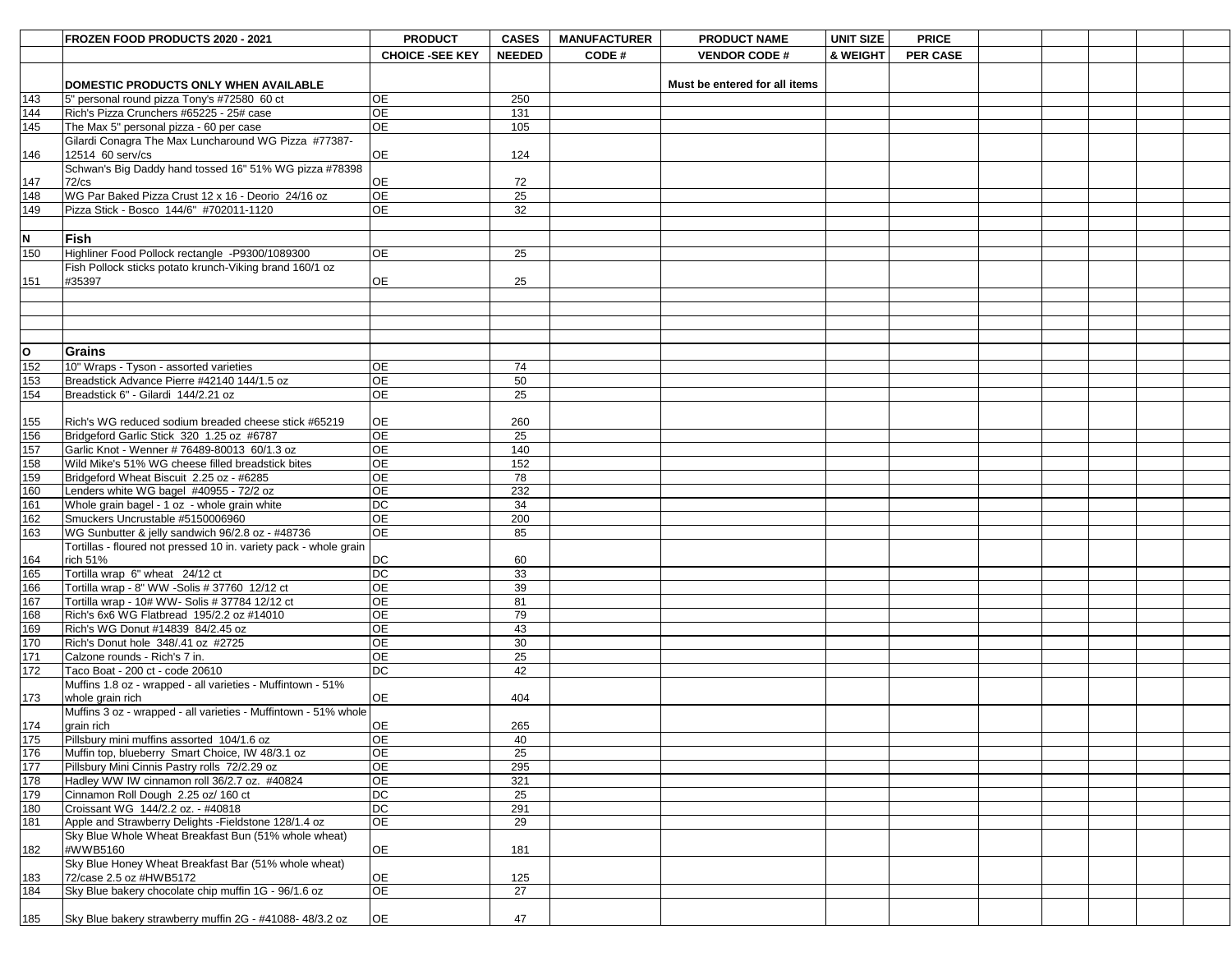|                   | FROZEN FOOD PRODUCTS 2020 - 2021                                                        | <b>PRODUCT</b>         | <b>CASES</b>  | <b>MANUFACTURER</b> | <b>PRODUCT NAME</b>           | <b>UNIT SIZE</b> | <b>PRICE</b>    |  |  |  |
|-------------------|-----------------------------------------------------------------------------------------|------------------------|---------------|---------------------|-------------------------------|------------------|-----------------|--|--|--|
|                   |                                                                                         |                        |               |                     |                               |                  |                 |  |  |  |
|                   |                                                                                         | <b>CHOICE -SEE KEY</b> | <b>NEEDED</b> | CODE#               | <b>VENDOR CODE#</b>           | & WEIGHT         | <b>PER CASE</b> |  |  |  |
|                   |                                                                                         |                        |               |                     | Must be entered for all items |                  |                 |  |  |  |
| 143               | <b>DOMESTIC PRODUCTS ONLY WHEN AVAILABLE</b>                                            | <b>OE</b>              | 250           |                     |                               |                  |                 |  |  |  |
| 144               | 5" personal round pizza Tony's #72580 60 ct<br>Rich's Pizza Crunchers #65225 - 25# case | <b>OE</b>              | 131           |                     |                               |                  |                 |  |  |  |
| 145               | The Max 5" personal pizza - 60 per case                                                 | ОE                     | 105           |                     |                               |                  |                 |  |  |  |
|                   | Gilardi Conagra The Max Luncharound WG Pizza #77387-                                    |                        |               |                     |                               |                  |                 |  |  |  |
| 146               | 12514 60 serv/cs                                                                        | <b>OE</b>              | 124           |                     |                               |                  |                 |  |  |  |
|                   | Schwan's Big Daddy hand tossed 16" 51% WG pizza #78398                                  |                        |               |                     |                               |                  |                 |  |  |  |
| 147               | $72$ /cs                                                                                | <b>OE</b>              | 72            |                     |                               |                  |                 |  |  |  |
| 148               | WG Par Baked Pizza Crust 12 x 16 - Deorio 24/16 oz                                      | <b>OE</b>              | 25            |                     |                               |                  |                 |  |  |  |
| 149               | Pizza Stick - Bosco 144/6" #702011-1120                                                 | <b>OE</b>              | 32            |                     |                               |                  |                 |  |  |  |
|                   |                                                                                         |                        |               |                     |                               |                  |                 |  |  |  |
| N                 | <b>Fish</b>                                                                             |                        |               |                     |                               |                  |                 |  |  |  |
| 150               | Highliner Food Pollock rectangle -P9300/1089300                                         | <b>OE</b>              | 25            |                     |                               |                  |                 |  |  |  |
|                   | Fish Pollock sticks potato krunch-Viking brand 160/1 oz                                 |                        |               |                     |                               |                  |                 |  |  |  |
| 151               | #35397                                                                                  | <b>OE</b>              | 25            |                     |                               |                  |                 |  |  |  |
|                   |                                                                                         |                        |               |                     |                               |                  |                 |  |  |  |
|                   |                                                                                         |                        |               |                     |                               |                  |                 |  |  |  |
|                   |                                                                                         |                        |               |                     |                               |                  |                 |  |  |  |
|                   |                                                                                         |                        |               |                     |                               |                  |                 |  |  |  |
| <b>O</b>          | <b>Grains</b>                                                                           |                        |               |                     |                               |                  |                 |  |  |  |
| 152               | 10" Wraps - Tyson - assorted varieties                                                  | <b>OE</b>              | 74            |                     |                               |                  |                 |  |  |  |
| 153               | Breadstick Advance Pierre #42140 144/1.5 oz                                             | OE                     | 50            |                     |                               |                  |                 |  |  |  |
| 154               | Breadstick 6" - Gilardi 144/2.21 oz                                                     | <b>OE</b>              | 25            |                     |                               |                  |                 |  |  |  |
|                   |                                                                                         |                        |               |                     |                               |                  |                 |  |  |  |
|                   | Rich's WG reduced sodium breaded cheese stick #65219                                    | <b>OE</b>              | 260           |                     |                               |                  |                 |  |  |  |
| $\frac{155}{156}$ | Bridgeford Garlic Stick 320 1.25 oz #6787                                               | OE                     | 25            |                     |                               |                  |                 |  |  |  |
| 157               | Garlic Knot - Wenner # 76489-80013 60/1.3 oz                                            | <b>OE</b>              | 140           |                     |                               |                  |                 |  |  |  |
| 158               | Wild Mike's 51% WG cheese filled breadstick bites                                       | <b>OE</b>              | 152           |                     |                               |                  |                 |  |  |  |
| 159               | Bridgeford Wheat Biscuit 2.25 oz - #6285                                                | 0E                     | 78            |                     |                               |                  |                 |  |  |  |
| 160               | Lenders white WG bagel #40955 - 72/2 oz                                                 | 0E                     | 232           |                     |                               |                  |                 |  |  |  |
| 161               | Whole grain bagel - 1 oz - whole grain white                                            | <b>DC</b>              | 34            |                     |                               |                  |                 |  |  |  |
| 162               | Smuckers Uncrustable #5150006960                                                        | <b>OE</b>              | 200           |                     |                               |                  |                 |  |  |  |
| 163               | WG Sunbutter & jelly sandwich 96/2.8 oz - #48736                                        | <b>OE</b>              | 85            |                     |                               |                  |                 |  |  |  |
|                   | Tortillas - floured not pressed 10 in. variety pack - whole grain                       |                        |               |                     |                               |                  |                 |  |  |  |
| 164               | rich 51%                                                                                | <b>DC</b>              | 60            |                     |                               |                  |                 |  |  |  |
| 165               | Tortilla wrap 6" wheat 24/12 ct                                                         | DC                     | 33            |                     |                               |                  |                 |  |  |  |
| 166               | Tortilla wrap - 8" WW -Solis # 37760 12/12 ct                                           | 0E                     | 39            |                     |                               |                  |                 |  |  |  |
| 167               | Tortilla wrap - 10# WW- Solis # 37784 12/12 ct                                          | 0E                     | 81            |                     |                               |                  |                 |  |  |  |
| 168               | Rich's 6x6 WG Flatbread 195/2.2 oz #14010                                               | <b>OE</b>              | 79            |                     |                               |                  |                 |  |  |  |
| 169               | Rich's WG Donut #14839 84/2.45 oz                                                       | <b>OE</b>              | 43            |                     |                               |                  |                 |  |  |  |
| 170               | Rich's Donut hole 348/.41 oz #2725                                                      | <b>OE</b>              | 30            |                     |                               |                  |                 |  |  |  |
| 171               | Calzone rounds - Rich's 7 in.                                                           | <b>OE</b>              | 25            |                     |                               |                  |                 |  |  |  |
| 172               | Taco Boat - 200 ct - code 20610                                                         | <b>DC</b>              | 42            |                     |                               |                  |                 |  |  |  |
|                   | Muffins 1.8 oz - wrapped - all varieties - Muffintown - 51%                             |                        |               |                     |                               |                  |                 |  |  |  |
| 173               | whole grain rich                                                                        | <b>OE</b>              | 404           |                     |                               |                  |                 |  |  |  |
|                   | Muffins 3 oz - wrapped - all varieties - Muffintown - 51% whole                         |                        |               |                     |                               |                  |                 |  |  |  |
| 174               | grain rich                                                                              | <b>OE</b>              | 265           |                     |                               |                  |                 |  |  |  |
| 175               | Pillsbury mini muffins assorted 104/1.6 oz                                              | <b>OE</b>              | 40            |                     |                               |                  |                 |  |  |  |
| 176               | Muffin top, blueberry Smart Choice, IW 48/3.1 oz                                        | <b>OE</b>              | 25            |                     |                               |                  |                 |  |  |  |
| 177               | Pillsbury Mini Cinnis Pastry rolls 72/2.29 oz                                           | <b>OE</b><br><b>OE</b> | 295<br>321    |                     |                               |                  |                 |  |  |  |
| 178<br>179        | Hadley WW IW cinnamon roll 36/2.7 oz. #40824                                            | <b>DC</b>              | 25            |                     |                               |                  |                 |  |  |  |
| 180               | Cinnamon Roll Dough 2.25 oz/ 160 ct<br>Croissant WG 144/2.2 oz. - #40818                | <b>DC</b>              | 291           |                     |                               |                  |                 |  |  |  |
| 181               | Apple and Strawberry Delights - Fieldstone 128/1.4 oz                                   | OE                     | 29            |                     |                               |                  |                 |  |  |  |
|                   | Sky Blue Whole Wheat Breakfast Bun (51% whole wheat)                                    |                        |               |                     |                               |                  |                 |  |  |  |
| 182               | #WWB5160                                                                                | OE                     | 181           |                     |                               |                  |                 |  |  |  |
|                   | Sky Blue Honey Wheat Breakfast Bar (51% whole wheat)                                    |                        |               |                     |                               |                  |                 |  |  |  |
| 183               | 72/case 2.5 oz #HWB5172                                                                 | OE                     | 125           |                     |                               |                  |                 |  |  |  |
| 184               | Sky Blue bakery chocolate chip muffin 1G - 96/1.6 oz                                    | OE                     | 27            |                     |                               |                  |                 |  |  |  |
|                   |                                                                                         |                        |               |                     |                               |                  |                 |  |  |  |
| 185               | Sky Blue bakery strawberry muffin 2G - #41088-48/3.2 oz                                 | OE                     | 47            |                     |                               |                  |                 |  |  |  |
|                   |                                                                                         |                        |               |                     |                               |                  |                 |  |  |  |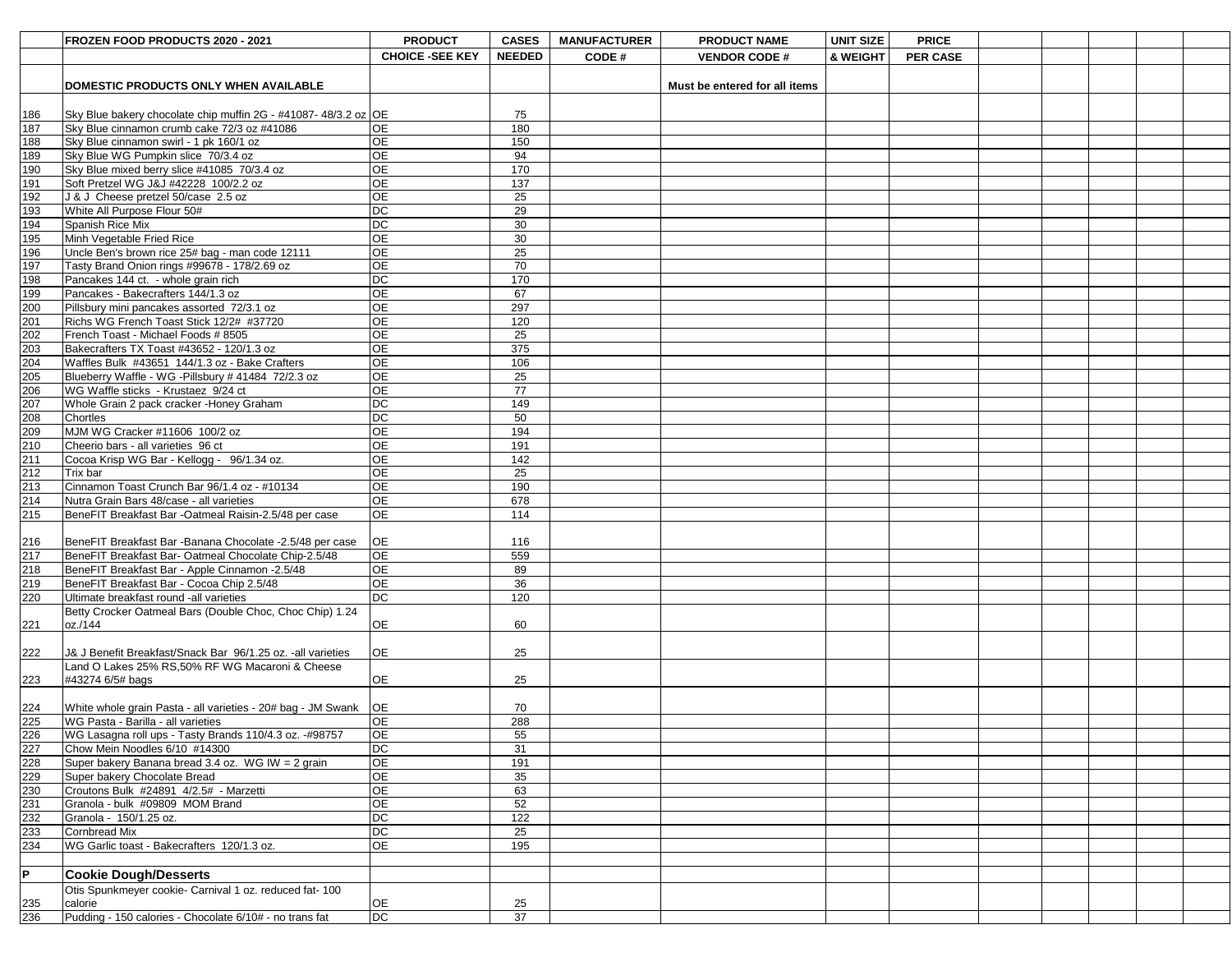|                                        | FROZEN FOOD PRODUCTS 2020 - 2021                                                       | <b>PRODUCT</b>         | <b>CASES</b>  | <b>MANUFACTURER</b> | <b>PRODUCT NAME</b>           | <b>UNIT SIZE</b> | <b>PRICE</b>    |  |  |
|----------------------------------------|----------------------------------------------------------------------------------------|------------------------|---------------|---------------------|-------------------------------|------------------|-----------------|--|--|
|                                        |                                                                                        | <b>CHOICE -SEE KEY</b> | <b>NEEDED</b> | CODE#               | <b>VENDOR CODE#</b>           | & WEIGHT         | <b>PER CASE</b> |  |  |
|                                        |                                                                                        |                        |               |                     |                               |                  |                 |  |  |
|                                        | DOMESTIC PRODUCTS ONLY WHEN AVAILABLE                                                  |                        |               |                     | Must be entered for all items |                  |                 |  |  |
|                                        |                                                                                        |                        |               |                     |                               |                  |                 |  |  |
| 186                                    | Sky Blue bakery chocolate chip muffin 2G - #41087-48/3.2 oz OE                         |                        | 75            |                     |                               |                  |                 |  |  |
| 187                                    | Sky Blue cinnamon crumb cake 72/3 oz #41086                                            | <b>OE</b>              | 180           |                     |                               |                  |                 |  |  |
| 188                                    | Sky Blue cinnamon swirl - 1 pk 160/1 oz                                                | <b>OE</b>              | 150           |                     |                               |                  |                 |  |  |
| 189                                    | Sky Blue WG Pumpkin slice 70/3.4 oz                                                    | <b>OE</b>              | 94            |                     |                               |                  |                 |  |  |
| 190                                    | Sky Blue mixed berry slice #41085 70/3.4 oz                                            | ΟE                     | 170           |                     |                               |                  |                 |  |  |
| 191                                    | Soft Pretzel WG J&J #42228 100/2.2 oz                                                  | $\overline{OE}$        | 137           |                     |                               |                  |                 |  |  |
| 192                                    | J & J Cheese pretzel 50/case 2.5 oz                                                    | <b>OE</b>              | 25            |                     |                               |                  |                 |  |  |
| 193                                    | White All Purpose Flour 50#                                                            | $DC$                   | 29            |                     |                               |                  |                 |  |  |
| 194                                    | <b>Spanish Rice Mix</b>                                                                | DC                     | 30            |                     |                               |                  |                 |  |  |
| 195                                    | Minh Vegetable Fried Rice                                                              | <b>OE</b>              | 30            |                     |                               |                  |                 |  |  |
| 196<br>197                             | Uncle Ben's brown rice 25# bag - man code 12111                                        | <b>OE</b>              | 25            |                     |                               |                  |                 |  |  |
|                                        | Tasty Brand Onion rings #99678 - 178/2.69 oz                                           | <b>OE</b>              | 70            |                     |                               |                  |                 |  |  |
| 198<br>199                             | Pancakes 144 ct. - whole grain rich                                                    | DC<br>$\overline{OE}$  | 170<br>67     |                     |                               |                  |                 |  |  |
| 200                                    | Pancakes - Bakecrafters 144/1.3 oz                                                     | <b>OE</b>              | 297           |                     |                               |                  |                 |  |  |
| $\overline{201}$                       | Pillsbury mini pancakes assorted 72/3.1 oz<br>Richs WG French Toast Stick 12/2# #37720 | OE                     | 120           |                     |                               |                  |                 |  |  |
| 202                                    | French Toast - Michael Foods # 8505                                                    | <b>OE</b>              | 25            |                     |                               |                  |                 |  |  |
| 203                                    | Bakecrafters TX Toast #43652 - 120/1.3 oz                                              | <b>OE</b>              | 375           |                     |                               |                  |                 |  |  |
| 204                                    | Waffles Bulk #43651 144/1.3 oz - Bake Crafters                                         | <b>OE</b>              | 106           |                     |                               |                  |                 |  |  |
| 205                                    | Blueberry Waffle - WG - Pillsbury # 41484 72/2.3 oz                                    | <b>OE</b>              | 25            |                     |                               |                  |                 |  |  |
| 206                                    | WG Waffle sticks - Krustaez 9/24 ct                                                    | <b>OE</b>              | 77            |                     |                               |                  |                 |  |  |
|                                        | Whole Grain 2 pack cracker - Honey Graham                                              | DC                     | 149           |                     |                               |                  |                 |  |  |
| 207<br>208                             | <b>Chortles</b>                                                                        | <b>DC</b>              | 50            |                     |                               |                  |                 |  |  |
| 209                                    | MJM WG Cracker #11606 100/2 oz                                                         | <b>OE</b>              | 194           |                     |                               |                  |                 |  |  |
| 210                                    | Cheerio bars - all varieties 96 ct                                                     | <b>OE</b>              | 191           |                     |                               |                  |                 |  |  |
| $\frac{11}{211}$<br>$\frac{212}{213}$  | Cocoa Krisp WG Bar - Kellogg - 96/1.34 oz.                                             | <b>OE</b>              | 142           |                     |                               |                  |                 |  |  |
|                                        | Trix bar                                                                               | <b>OE</b>              | 25            |                     |                               |                  |                 |  |  |
|                                        | Cinnamon Toast Crunch Bar 96/1.4 oz - #10134                                           | <b>OE</b>              | 190           |                     |                               |                  |                 |  |  |
| $\overline{214}$                       | Nutra Grain Bars 48/case - all varieties                                               | <b>OE</b>              | 678           |                     |                               |                  |                 |  |  |
| 215                                    | BeneFIT Breakfast Bar -Oatmeal Raisin-2.5/48 per case                                  | OE                     | 114           |                     |                               |                  |                 |  |  |
|                                        |                                                                                        |                        |               |                     |                               |                  |                 |  |  |
|                                        | BeneFIT Breakfast Bar - Banana Chocolate - 2.5/48 per case                             | OE                     | 116           |                     |                               |                  |                 |  |  |
| $\frac{216}{217}$                      | BeneFIT Breakfast Bar- Oatmeal Chocolate Chip-2.5/48                                   | <b>OE</b>              | 559           |                     |                               |                  |                 |  |  |
| 218                                    | BeneFIT Breakfast Bar - Apple Cinnamon -2.5/48                                         | <b>OE</b>              | 89            |                     |                               |                  |                 |  |  |
| 219                                    | BeneFIT Breakfast Bar - Cocoa Chip 2.5/48                                              | <b>OE</b>              | 36            |                     |                               |                  |                 |  |  |
| 220                                    | Ultimate breakfast round -all varieties                                                | $\overline{DC}$        | 120           |                     |                               |                  |                 |  |  |
|                                        | Betty Crocker Oatmeal Bars (Double Choc, Choc Chip) 1.24                               |                        |               |                     |                               |                  |                 |  |  |
| 221                                    | loz./144                                                                               | <b>OE</b>              | 60            |                     |                               |                  |                 |  |  |
|                                        |                                                                                        |                        |               |                     |                               |                  |                 |  |  |
| 222                                    | U& J Benefit Breakfast/Snack Bar 96/1.25 oz. - all varieties                           | <b>OE</b>              | 25            |                     |                               |                  |                 |  |  |
|                                        | Land O Lakes 25% RS,50% RF WG Macaroni & Cheese                                        |                        |               |                     |                               |                  |                 |  |  |
| 223                                    | $\#43274$ 6/5# bags                                                                    | <b>OE</b>              | 25            |                     |                               |                  |                 |  |  |
|                                        |                                                                                        |                        |               |                     |                               |                  |                 |  |  |
|                                        | White whole grain Pasta - all varieties - 20# bag - JM Swank                           | <b>OE</b>              | 70            |                     |                               |                  |                 |  |  |
| 224<br>225<br>226                      | WG Pasta - Barilla - all varieties                                                     | <b>OE</b>              | 288           |                     |                               |                  |                 |  |  |
|                                        | WG Lasagna roll ups - Tasty Brands 110/4.3 oz. -#98757                                 | OE                     | 55            |                     |                               |                  |                 |  |  |
|                                        | Chow Mein Noodles 6/10 #14300                                                          | DC                     | 31            |                     |                               |                  |                 |  |  |
| $\frac{227}{228}$<br>$\frac{228}{229}$ | Super bakery Banana bread 3.4 oz. WG IW = 2 grain                                      | OE                     | 191           |                     |                               |                  |                 |  |  |
|                                        | Super bakery Chocolate Bread                                                           | OE<br>OE               | 35            |                     |                               |                  |                 |  |  |
|                                        | Croutons Bulk #24891 4/2.5# - Marzetti                                                 | OE                     | 63            |                     |                               |                  |                 |  |  |
|                                        | Granola - bulk #09809 MOM Brand                                                        | DC                     | 52<br>122     |                     |                               |                  |                 |  |  |
|                                        | Granola - 150/1.25 oz.<br>Cornbread Mix                                                | $DC$                   |               |                     |                               |                  |                 |  |  |
| $\frac{231}{232}$ $\frac{233}{234}$    | WG Garlic toast - Bakecrafters 120/1.3 oz.                                             | <b>OE</b>              | 25<br>195     |                     |                               |                  |                 |  |  |
|                                        |                                                                                        |                        |               |                     |                               |                  |                 |  |  |
| lP.                                    | <b>Cookie Dough/Desserts</b>                                                           |                        |               |                     |                               |                  |                 |  |  |
|                                        |                                                                                        |                        |               |                     |                               |                  |                 |  |  |
|                                        | Otis Spunkmeyer cookie- Carnival 1 oz. reduced fat- 100<br>calorie                     | <b>OE</b>              | 25            |                     |                               |                  |                 |  |  |
| $\frac{235}{236}$                      | Pudding - 150 calories - Chocolate 6/10# - no trans fat                                | $\overline{DC}$        | 37            |                     |                               |                  |                 |  |  |
|                                        |                                                                                        |                        |               |                     |                               |                  |                 |  |  |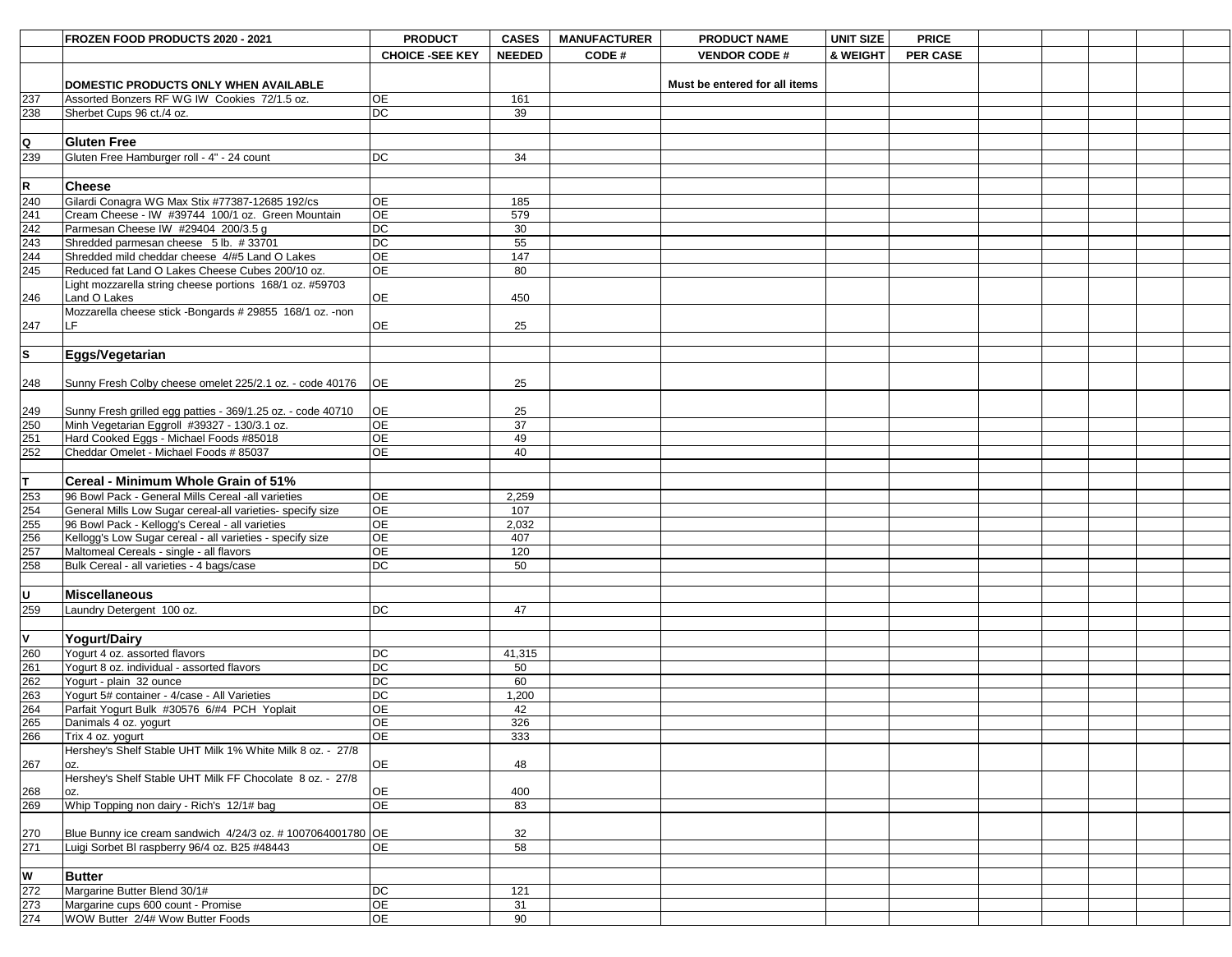|                                                                 | FROZEN FOOD PRODUCTS 2020 - 2021                                                         | <b>PRODUCT</b>         | <b>CASES</b>  | <b>MANUFACTURER</b> | <b>PRODUCT NAME</b>           | <b>UNIT SIZE</b> | <b>PRICE</b>    |  |  |  |
|-----------------------------------------------------------------|------------------------------------------------------------------------------------------|------------------------|---------------|---------------------|-------------------------------|------------------|-----------------|--|--|--|
|                                                                 |                                                                                          | <b>CHOICE -SEE KEY</b> | <b>NEEDED</b> | CODE#               | <b>VENDOR CODE#</b>           | & WEIGHT         | <b>PER CASE</b> |  |  |  |
|                                                                 |                                                                                          |                        |               |                     |                               |                  |                 |  |  |  |
|                                                                 | DOMESTIC PRODUCTS ONLY WHEN AVAILABLE                                                    |                        |               |                     | Must be entered for all items |                  |                 |  |  |  |
| 237                                                             | Assorted Bonzers RF WG IW Cookies 72/1.5 oz.                                             | <b>OE</b>              | 161           |                     |                               |                  |                 |  |  |  |
| 238                                                             | Sherbet Cups 96 ct./4 oz.                                                                | DC                     | 39            |                     |                               |                  |                 |  |  |  |
|                                                                 |                                                                                          |                        |               |                     |                               |                  |                 |  |  |  |
| $\overline{Q}$                                                  | <b>Gluten Free</b>                                                                       |                        |               |                     |                               |                  |                 |  |  |  |
| 239                                                             | Gluten Free Hamburger roll - 4" - 24 count                                               | DC                     | 34            |                     |                               |                  |                 |  |  |  |
|                                                                 |                                                                                          |                        |               |                     |                               |                  |                 |  |  |  |
| $\frac{R}{\frac{240}{242}}$ $\frac{242}{243}$ $\frac{243}{244}$ | <b>Cheese</b>                                                                            |                        |               |                     |                               |                  |                 |  |  |  |
|                                                                 | Gilardi Conagra WG Max Stix #77387-12685 192/cs                                          | <b>OE</b><br>OE        | 185           |                     |                               |                  |                 |  |  |  |
|                                                                 | Cream Cheese - IW #39744 100/1 oz. Green Mountain<br>Parmesan Cheese IW #29404 200/3.5 g | DC                     | 579<br>30     |                     |                               |                  |                 |  |  |  |
|                                                                 | Shredded parmesan cheese 5 lb. #33701                                                    | DC                     | 55            |                     |                               |                  |                 |  |  |  |
|                                                                 | Shredded mild cheddar cheese 4/#5 Land O Lakes                                           | OE                     | 147           |                     |                               |                  |                 |  |  |  |
| 245                                                             | Reduced fat Land O Lakes Cheese Cubes 200/10 oz.                                         | <b>OE</b>              | 80            |                     |                               |                  |                 |  |  |  |
|                                                                 | Light mozzarella string cheese portions 168/1 oz. #59703                                 |                        |               |                     |                               |                  |                 |  |  |  |
| 246                                                             | Land O Lakes                                                                             | <b>OE</b>              | 450           |                     |                               |                  |                 |  |  |  |
|                                                                 | Mozzarella cheese stick -Bongards # 29855 168/1 oz. -non                                 |                        |               |                     |                               |                  |                 |  |  |  |
| 247                                                             | I F.                                                                                     | <b>OE</b>              | 25            |                     |                               |                  |                 |  |  |  |
|                                                                 |                                                                                          |                        |               |                     |                               |                  |                 |  |  |  |
| s                                                               | Eggs/Vegetarian                                                                          |                        |               |                     |                               |                  |                 |  |  |  |
|                                                                 |                                                                                          |                        |               |                     |                               |                  |                 |  |  |  |
| 248                                                             | Sunny Fresh Colby cheese omelet 225/2.1 oz. - code 40176                                 | <b>OE</b>              | 25            |                     |                               |                  |                 |  |  |  |
|                                                                 | Sunny Fresh grilled egg patties - 369/1.25 oz. - code 40710                              | <b>OE</b>              | 25            |                     |                               |                  |                 |  |  |  |
|                                                                 | Minh Vegetarian Eggroll #39327 - 130/3.1 oz.                                             | <b>OE</b>              | 37            |                     |                               |                  |                 |  |  |  |
|                                                                 | Hard Cooked Eggs - Michael Foods #85018                                                  | $\overline{OE}$        | 49            |                     |                               |                  |                 |  |  |  |
| 249<br>250<br>251<br>252                                        | Cheddar Omelet - Michael Foods # 85037                                                   | <b>OE</b>              | 40            |                     |                               |                  |                 |  |  |  |
|                                                                 |                                                                                          |                        |               |                     |                               |                  |                 |  |  |  |
| $\mathsf{L}$                                                    | <b>Cereal - Minimum Whole Grain of 51%</b>                                               |                        |               |                     |                               |                  |                 |  |  |  |
| 253<br>254<br>255<br>256<br>257                                 | 96 Bowl Pack - General Mills Cereal -all varieties                                       | <b>OE</b>              | 2,259         |                     |                               |                  |                 |  |  |  |
|                                                                 | General Mills Low Sugar cereal-all varieties- specify size                               | OE                     | 107           |                     |                               |                  |                 |  |  |  |
|                                                                 | 96 Bowl Pack - Kellogg's Cereal - all varieties                                          | <b>OE</b>              | 2,032         |                     |                               |                  |                 |  |  |  |
|                                                                 | Kellogg's Low Sugar cereal - all varieties - specify size                                | OE                     | 407           |                     |                               |                  |                 |  |  |  |
|                                                                 | Maltomeal Cereals - single - all flavors                                                 | OE                     | 120           |                     |                               |                  |                 |  |  |  |
| 258                                                             | Bulk Cereal - all varieties - 4 bags/case                                                | DC                     | 50            |                     |                               |                  |                 |  |  |  |
|                                                                 |                                                                                          |                        |               |                     |                               |                  |                 |  |  |  |
| U                                                               | <b>Miscellaneous</b>                                                                     |                        |               |                     |                               |                  |                 |  |  |  |
| 259                                                             | Laundry Detergent 100 oz.                                                                | DC                     | 47            |                     |                               |                  |                 |  |  |  |
| $\overline{\mathsf{v}}$                                         |                                                                                          |                        |               |                     |                               |                  |                 |  |  |  |
|                                                                 | <b>Yogurt/Dairy</b>                                                                      |                        |               |                     |                               |                  |                 |  |  |  |
|                                                                 | Yogurt 4 oz. assorted flavors<br>Yogurt 8 oz. individual - assorted flavors              | DC<br>DC               | 41,315<br>50  |                     |                               |                  |                 |  |  |  |
| 260<br>261<br>262<br>263<br>264<br>265                          | Yogurt - plain 32 ounce                                                                  | DC                     | 60            |                     |                               |                  |                 |  |  |  |
|                                                                 | Yogurt 5# container - 4/case - All Varieties                                             | DC                     | 1,200         |                     |                               |                  |                 |  |  |  |
|                                                                 | Parfait Yogurt Bulk #30576 6/#4 PCH Yoplait                                              | <b>OE</b>              | 42            |                     |                               |                  |                 |  |  |  |
|                                                                 | Danimals 4 oz. yogurt                                                                    | <b>OE</b>              | 326           |                     |                               |                  |                 |  |  |  |
| 266                                                             | Trix 4 oz. yogurt                                                                        | <b>OE</b>              | 333           |                     |                               |                  |                 |  |  |  |
|                                                                 | Hershey's Shelf Stable UHT Milk 1% White Milk 8 oz. - 27/8                               |                        |               |                     |                               |                  |                 |  |  |  |
| 267                                                             | lOZ.                                                                                     | <b>OE</b>              | 48            |                     |                               |                  |                 |  |  |  |
|                                                                 | Hershey's Shelf Stable UHT Milk FF Chocolate 8 oz. - 27/8                                |                        |               |                     |                               |                  |                 |  |  |  |
| 268<br>269                                                      | loz.<br>Whip Topping non dairy - Rich's 12/1# bag                                        | <b>OE</b><br><b>OE</b> | 400<br>83     |                     |                               |                  |                 |  |  |  |
|                                                                 |                                                                                          |                        |               |                     |                               |                  |                 |  |  |  |
| $\frac{270}{271}$                                               | Blue Bunny ice cream sandwich 4/24/3 oz. #1007064001780 OE                               |                        | 32            |                     |                               |                  |                 |  |  |  |
|                                                                 | Luigi Sorbet BI raspberry 96/4 oz. B25 #48443                                            | <b>OE</b>              | 58            |                     |                               |                  |                 |  |  |  |
|                                                                 |                                                                                          |                        |               |                     |                               |                  |                 |  |  |  |
| W                                                               | <b>Butter</b>                                                                            |                        |               |                     |                               |                  |                 |  |  |  |
| $\frac{1272}{273}$<br>273                                       | Margarine Butter Blend 30/1#                                                             | <b>DC</b>              | 121           |                     |                               |                  |                 |  |  |  |
|                                                                 | Margarine cups 600 count - Promise                                                       | <b>OE</b>              | 31            |                     |                               |                  |                 |  |  |  |
|                                                                 | WOW Butter 2/4# Wow Butter Foods                                                         | <b>OE</b>              | 90            |                     |                               |                  |                 |  |  |  |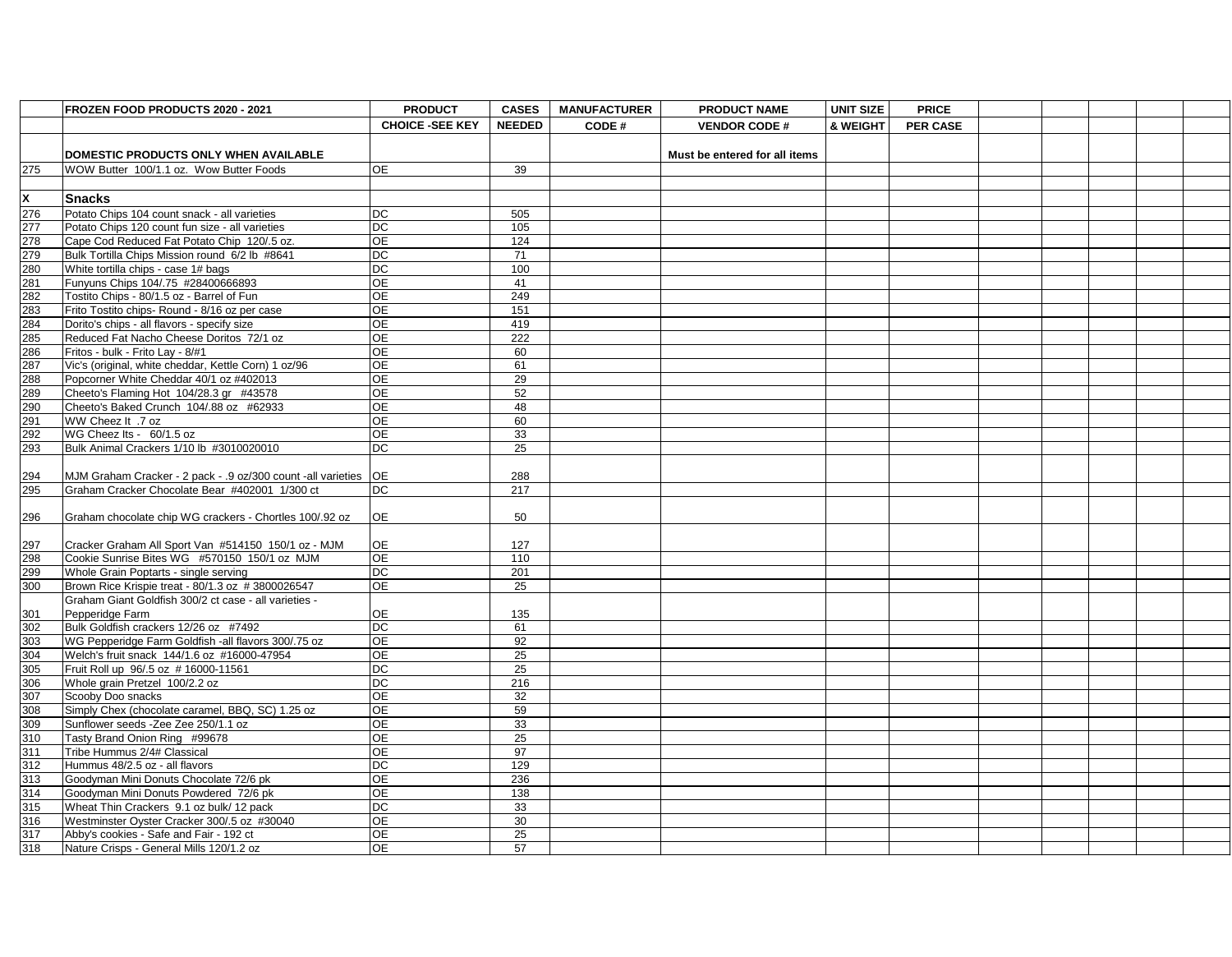|                                                                           | FROZEN FOOD PRODUCTS 2020 - 2021                                | <b>PRODUCT</b>         | <b>CASES</b>  | <b>MANUFACTURER</b> | <b>PRODUCT NAME</b>           | UNIT SIZE | <b>PRICE</b>    |  |  |  |
|---------------------------------------------------------------------------|-----------------------------------------------------------------|------------------------|---------------|---------------------|-------------------------------|-----------|-----------------|--|--|--|
|                                                                           |                                                                 | <b>CHOICE -SEE KEY</b> | <b>NEEDED</b> | CODE#               | <b>VENDOR CODE #</b>          | & WEIGHT  | <b>PER CASE</b> |  |  |  |
|                                                                           |                                                                 |                        |               |                     |                               |           |                 |  |  |  |
|                                                                           | <b>DOMESTIC PRODUCTS ONLY WHEN AVAILABLE</b>                    |                        |               |                     | Must be entered for all items |           |                 |  |  |  |
| 275                                                                       | WOW Butter 100/1.1 oz. Wow Butter Foods                         | <b>OE</b>              | 39            |                     |                               |           |                 |  |  |  |
|                                                                           |                                                                 |                        |               |                     |                               |           |                 |  |  |  |
| $\frac{\mathsf{X}}{276}$ $\frac{276}{277}$                                | <b>Snacks</b>                                                   |                        |               |                     |                               |           |                 |  |  |  |
|                                                                           | Potato Chips 104 count snack - all varieties                    | <b>DC</b>              | 505           |                     |                               |           |                 |  |  |  |
|                                                                           | Potato Chips 120 count fun size - all varieties                 | DC                     | 105           |                     |                               |           |                 |  |  |  |
| 278                                                                       | Cape Cod Reduced Fat Potato Chip 120/.5 oz.                     | <b>OE</b>              | 124           |                     |                               |           |                 |  |  |  |
| 279                                                                       | Bulk Tortilla Chips Mission round 6/2 lb #8641                  | <b>DC</b>              | 71            |                     |                               |           |                 |  |  |  |
|                                                                           | White tortilla chips - case 1# bags                             | DC                     | 100           |                     |                               |           |                 |  |  |  |
| 280<br>281<br>283<br>283<br>285<br>285<br>285<br>287<br>289<br>290<br>291 | Funyuns Chips 104/.75 #28400666893                              | ΟE                     | 41            |                     |                               |           |                 |  |  |  |
|                                                                           | Tostito Chips - 80/1.5 oz - Barrel of Fun                       | <b>OE</b>              | 249           |                     |                               |           |                 |  |  |  |
|                                                                           | Frito Tostito chips- Round - 8/16 oz per case                   | <b>OE</b>              | 151           |                     |                               |           |                 |  |  |  |
|                                                                           | Dorito's chips - all flavors - specify size                     | <b>OE</b>              | 419           |                     |                               |           |                 |  |  |  |
|                                                                           | Reduced Fat Nacho Cheese Doritos 72/1 oz                        | <b>OE</b>              | 222           |                     |                               |           |                 |  |  |  |
|                                                                           | Fritos - bulk - Frito Lay - 8/#1                                | <b>OE</b>              | 60            |                     |                               |           |                 |  |  |  |
|                                                                           | Vic's (original, white cheddar, Kettle Corn) 1 oz/96            | ΟE                     | 61            |                     |                               |           |                 |  |  |  |
|                                                                           | Popcorner White Cheddar 40/1 oz #402013                         | <b>OE</b>              | 29            |                     |                               |           |                 |  |  |  |
|                                                                           | Cheeto's Flaming Hot 104/28.3 gr #43578                         | ΟE                     | 52            |                     |                               |           |                 |  |  |  |
|                                                                           | Cheeto's Baked Crunch 104/.88 oz #62933                         | <b>OE</b>              | 48            |                     |                               |           |                 |  |  |  |
|                                                                           | WW Cheez It .7 oz                                               | <b>OE</b>              | 60            |                     |                               |           |                 |  |  |  |
| 292<br>293                                                                | WG Cheez Its - 60/1.5 oz                                        | <b>OE</b>              | 33            |                     |                               |           |                 |  |  |  |
|                                                                           | Bulk Animal Crackers 1/10 lb #3010020010                        | <b>DC</b>              | 25            |                     |                               |           |                 |  |  |  |
|                                                                           |                                                                 |                        |               |                     |                               |           |                 |  |  |  |
|                                                                           | MJM Graham Cracker - 2 pack - .9 oz/300 count -all varieties OE |                        | 288           |                     |                               |           |                 |  |  |  |
| $\frac{294}{295}$                                                         | Graham Cracker Chocolate Bear #402001 1/300 ct                  | <b>DC</b>              | 217           |                     |                               |           |                 |  |  |  |
|                                                                           |                                                                 |                        |               |                     |                               |           |                 |  |  |  |
| 296                                                                       | Graham chocolate chip WG crackers - Chortles 100/.92 oz         | <b>OE</b>              | 50            |                     |                               |           |                 |  |  |  |
|                                                                           |                                                                 |                        |               |                     |                               |           |                 |  |  |  |
| $\frac{297}{298}$                                                         | Cracker Graham All Sport Van #514150 150/1 oz - MJM             | <b>OE</b>              | 127           |                     |                               |           |                 |  |  |  |
|                                                                           | Cookie Sunrise Bites WG #570150 150/1 oz MJM                    | <b>OE</b>              | 110           |                     |                               |           |                 |  |  |  |
| 299                                                                       | Whole Grain Poptarts - single serving                           | <b>DC</b>              | 201           |                     |                               |           |                 |  |  |  |
| 300                                                                       | Brown Rice Krispie treat - 80/1.3 oz #3800026547                | <b>OE</b>              | 25            |                     |                               |           |                 |  |  |  |
|                                                                           | Graham Giant Goldfish 300/2 ct case - all varieties -           |                        |               |                     |                               |           |                 |  |  |  |
| 301                                                                       | Pepperidge Farm                                                 | <b>OE</b>              | 135           |                     |                               |           |                 |  |  |  |
| $\frac{302}{303}$                                                         | Bulk Goldfish crackers 12/26 oz #7492                           | <b>DC</b>              | 61            |                     |                               |           |                 |  |  |  |
|                                                                           | WG Pepperidge Farm Goldfish -all flavors 300/.75 oz             | <b>OE</b>              | 92            |                     |                               |           |                 |  |  |  |
| $\frac{304}{305}$ $\frac{306}{307}$                                       | Welch's fruit snack 144/1.6 oz #16000-47954                     | <b>OE</b>              | 25            |                     |                               |           |                 |  |  |  |
|                                                                           | Fruit Roll up 96/.5 oz #16000-11561                             | <b>DC</b>              | 25            |                     |                               |           |                 |  |  |  |
|                                                                           | Whole grain Pretzel 100/2.2 oz                                  | DC                     | 216           |                     |                               |           |                 |  |  |  |
|                                                                           | Scooby Doo snacks                                               | <b>OE</b>              | 32            |                     |                               |           |                 |  |  |  |
| $\frac{308}{309}$                                                         | Simply Chex (chocolate caramel, BBQ, SC) 1.25 oz                | <b>OE</b>              | 59            |                     |                               |           |                 |  |  |  |
|                                                                           | Sunflower seeds -Zee Zee 250/1.1 oz                             | <b>OE</b>              | 33            |                     |                               |           |                 |  |  |  |
|                                                                           | Tasty Brand Onion Ring #99678                                   | <b>OE</b>              | 25            |                     |                               |           |                 |  |  |  |
|                                                                           | Tribe Hummus 2/4# Classical                                     | <b>OE</b>              | 97            |                     |                               |           |                 |  |  |  |
| $\frac{310}{311}$ $\frac{312}{313}$ $\frac{313}{314}$ $\frac{314}{315}$   | Hummus 48/2.5 oz - all flavors                                  | DC                     | 129           |                     |                               |           |                 |  |  |  |
|                                                                           | Goodyman Mini Donuts Chocolate 72/6 pk                          | ΟE                     | 236           |                     |                               |           |                 |  |  |  |
|                                                                           | Goodyman Mini Donuts Powdered 72/6 pk                           | <b>OE</b>              | 138           |                     |                               |           |                 |  |  |  |
|                                                                           | Wheat Thin Crackers 9.1 oz bulk/ 12 pack                        | DC                     | 33            |                     |                               |           |                 |  |  |  |
| 316                                                                       | Westminster Oyster Cracker 300/.5 oz #30040                     | <b>OE</b>              | 30            |                     |                               |           |                 |  |  |  |
| 317                                                                       | Abby's cookies - Safe and Fair - 192 ct                         | <b>OE</b>              | 25            |                     |                               |           |                 |  |  |  |
| 318                                                                       | Nature Crisps - General Mills 120/1.2 oz                        | <b>OE</b>              | 57            |                     |                               |           |                 |  |  |  |